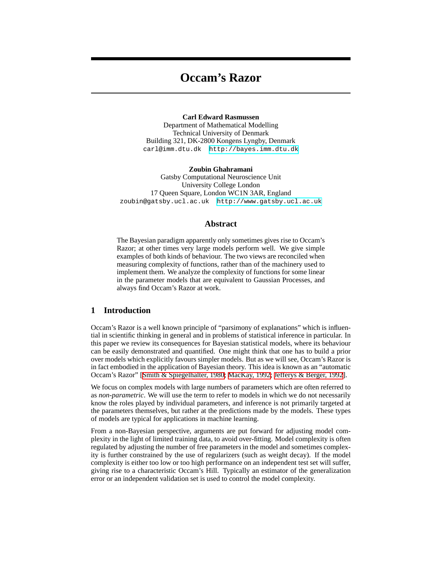# **Occam's Razor**

**Carl Edward Rasmussen** Department of Mathematical Modelling Technical University of Denmark Building 321, DK-2800 Kongens Lyngby, Denmark carl@imm.dtu.dk<http://bayes.imm.dtu.dk>

**Zoubin Ghahramani** Gatsby Computational Neuroscience Unit University College London 17 Queen Square, London WC1N 3AR, England zoubin@gatsby.ucl.ac.uk [http://www.gatsby.ucl.ac.uk](http://www.gatsby.ucl.ac.uk/~zoubin)

## **Abstract**

The Bayesian paradigm apparently only sometimes gives rise to Occam's Razor; at other times very large models perform well. We give simple examples of both kinds of behaviour. The two views are reconciled when measuring complexity of functions, rather than of the machinery used to implement them. We analyze the complexity of functions for some linear in the parameter models that are equivalent to Gaussian Processes, and always find Occam's Razor at work.

# **1 Introduction**

Occam's Razor is a well known principle of "parsimony of explanations" which is influential in scientific thinking in general and in problems of statistical inference in particular. In this paper we review its consequences for Bayesian statistical models, where its behaviour can be easily demonstrated and quantified. One might think that one has to build a prior over models which explicitly favours simpler models. But as we will see, Occam's Razor is in fact embodied in the application of Bayesian theory. This idea is known as an "automatic Occam's Razor" [\[Smith & Spiegelhalter, 1980;](#page-6-0) [MacKay, 1992;](#page-6-1) [Jefferys & Berger, 1992](#page-6-2)].

We focus on complex models with large numbers of parameters which are often referred to as *non-parametric*. We will use the term to refer to models in which we do not necessarily know the roles played by individual parameters, and inference is not primarily targeted at the parameters themselves, but rather at the predictions made by the models. These types of models are typical for applications in machine learning.

From a non-Bayesian perspective, arguments are put forward for adjusting model complexity in the light of limited training data, to avoid over-fitting. Model complexity is often regulated by adjusting the number of free parameters in the model and sometimes complexity is further constrained by the use of regularizers (such as weight decay). If the model complexity is either too low or too high performance on an independent test set will suffer, giving rise to a characteristic Occam's Hill. Typically an estimator of the generalization error or an independent validation set is used to control the model complexity.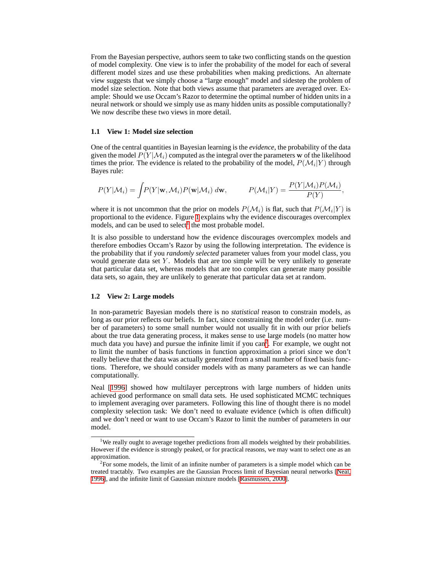From the Bayesian perspective, authors seem to take two conflicting stands on the question of model complexity. One view is to infer the probability of the model for each of several different model sizes and use these probabilities when making predictions. An alternate view suggests that we simply choose a "large enough" model and sidestep the problem of model size selection. Note that both views assume that parameters are averaged over. Example: Should we use Occam's Razor to determine the optimal number of hidden units in a neural network or should we simply use as many hidden units as possible computationally? We now describe these two views in more detail.

#### **1.1 View 1: Model size selection**

One of the central quantities in Bayesian learning is the *evidence*, the probability of the data given the model  $P(Y|M_i)$  computed as the integral over the parameters w of the likelihood times the prior. The evidence is related to the probability of the model,  $P(\mathcal{M}_i|Y)$  through Bayes rule:

$$
P(Y|\mathcal{M}_i) = \int \!\! P(Y|\mathbf{w}, \mathcal{M}_i) P(\mathbf{w}|\mathcal{M}_i) \; d\mathbf{w}, \qquad \quad P(\mathcal{M}_i|Y) = \frac{P(Y|\mathcal{M}_i) P(\mathcal{M}_i)}{P(Y)},
$$

where it is not uncommon that the prior on models  $P(\mathcal{M}_i)$  is flat, such that  $P(\mathcal{M}_i|Y)$  is proportional to the evidence. Figure [1](#page-2-0) explains why the evidence discourages overcomplex models, and can be used to select<sup>[1](#page-1-0)</sup> the most probable model.

It is also possible to understand how the evidence discourages overcomplex models and therefore embodies Occam's Razor by using the following interpretation. The evidence is the probability that if you *randomly selected* parameter values from your model class, you would generate data set  $Y$ . Models that are too simple will be very unlikely to generate that particular data set, whereas models that are too complex can generate many possible data sets, so again, they are unlikely to generate that particular data set at random.

#### **1.2 View 2: Large models**

In non-parametric Bayesian models there is no *statistical* reason to constrain models, as long as our prior reflects our beliefs. In fact, since constraining the model order (i.e. number of parameters) to some small number would not usually fit in with our prior beliefs about the true data generating process, it makes sense to use large models (no matter how much data you have) and pursue the infinite limit if you can<sup>[2](#page-1-1)</sup>. For example, we ought not to limit the number of basis functions in function approximation a priori since we don't really believe that the data was actually generated from a small number of fixed basis functions. Therefore, we should consider models with as many parameters as we can handle computationally.

Neal [[1996\]](#page-6-3) showed how multilayer perceptrons with large numbers of hidden units achieved good performance on small data sets. He used sophisticated MCMC techniques to implement averaging over parameters. Following this line of thought there is no model complexity selection task: We don't need to evaluate evidence (which is often difficult) and we don't need or want to use Occam's Razor to limit the number of parameters in our model.

<span id="page-1-0"></span><sup>&</sup>lt;sup>1</sup>We really ought to average together predictions from all models weighted by their probabilities. However if the evidence is strongly peaked, or for practical reasons, we may want to select one as an approximation.

<span id="page-1-1"></span> $2^2$ For some models, the limit of an infinite number of parameters is a simple model which can be treated tractably. Two examples are the Gaussian Process limit of Bayesian neural networks [[Neal,](#page-6-3) [1996\]](#page-6-3), and the infinite limit of Gaussian mixture models [[Rasmussen, 2000](#page-6-4)].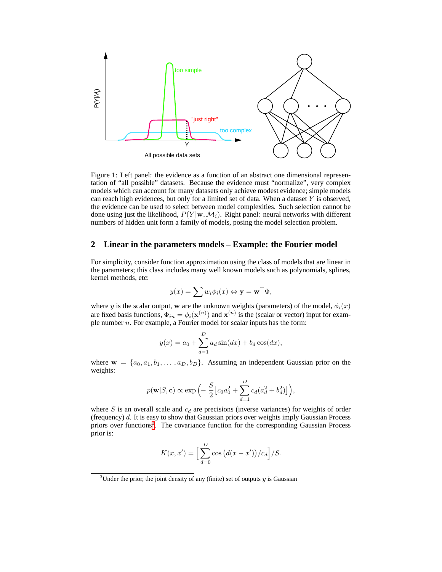

<span id="page-2-0"></span>Figure 1: Left panel: the evidence as a function of an abstract one dimensional representation of "all possible" datasets. Because the evidence must "normalize", very complex models which can account for many datasets only achieve modest evidence; simple models can reach high evidences, but only for a limited set of data. When a dataset  $Y$  is observed, the evidence can be used to select between model complexities. Such selection cannot be done using just the likelihood,  $P(Y | w, M_i)$ . Right panel: neural networks with different numbers of hidden unit form a family of models, posing the model selection problem.

# **2 Linear in the parameters models – Example: the Fourier model**

For simplicity, consider function approximation using the class of models that are linear in the parameters; this class includes many well known models such as polynomials, splines, kernel methods, etc:

$$
y(x) = \sum w_i \phi_i(x) \Leftrightarrow \mathbf{y} = \mathbf{w}^\top \Phi,
$$

where y is the scalar output, w are the unknown weights (parameters) of the model,  $\phi_i(x)$ are fixed basis functions,  $\Phi_{in} = \phi_i(\mathbf{x}^{(n)})$  and  $\mathbf{x}^{(n)}$  is the (scalar or vector) input for example number  $n$ . For example, a Fourier model for scalar inputs has the form:

$$
y(x) = a_0 + \sum_{d=1}^{D} a_d \sin(dx) + b_d \cos(dx),
$$

where  $\mathbf{w} = \{a_0, a_1, b_1, \dots, a_D, b_D\}$ . Assuming an independent Gaussian prior on the weights:

$$
p(\mathbf{w}|S,\mathbf{c}) \propto \exp\left(-\frac{S}{2}\left[c_0a_0^2 + \sum_{d=1}^D c_d(a_d^2 + b_d^2)\right]\right),\,
$$

where S is an overall scale and  $c_d$  are precisions (inverse variances) for weights of order (frequency)  $d$ . It is easy to show that Gaussian priors over weights imply Gaussian Process priors over functions<sup>[3](#page-2-1)</sup>. The covariance function for the corresponding Gaussian Process prior is:

$$
K(x, x') = \left[\sum_{d=0}^{D} \cos\left(d(x - x')\right)/c_d\right]/S.
$$

<span id="page-2-1"></span><sup>&</sup>lt;sup>3</sup>Under the prior, the joint density of any (finite) set of outputs  $y$  is Gaussian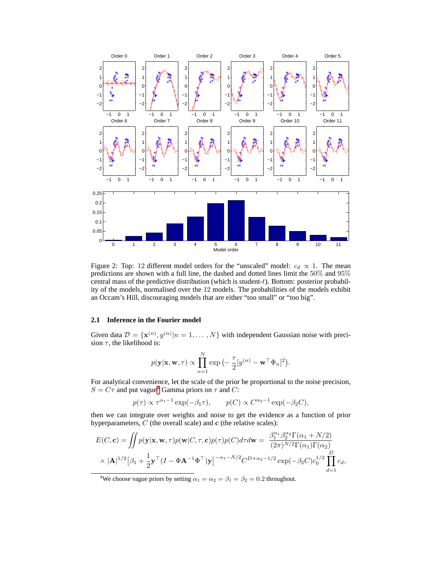

<span id="page-3-1"></span>Figure 2: Top: 12 different model orders for the "unscaled" model:  $c_d \propto 1$ . The mean predictions are shown with a full line, the dashed and dotted lines limit the 50% and 95% central mass of the predictive distribution (which is student- $t$ ). Bottom: posterior probability of the models, normalised over the 12 models. The probabilities of the models exhibit an Occam's Hill, discouraging models that are either "too small" or "too big".

#### **2.1 Inference in the Fourier model**

Given data  $\mathcal{D} = {\mathbf{x}^{(n)}, y^{(n)} | n = 1, ..., N}$  with independent Gaussian noise with precision  $\tau$ , the likelihood is:

$$
p(\mathbf{y}|\mathbf{x}, \mathbf{w}, \tau) \propto \prod_{n=1}^{N} \exp\left(-\frac{\tau}{2} [y^{(n)} - \mathbf{w}^{\top} \Phi_n]^2\right).
$$

For analytical convenience, let the scale of the prior be proportional to the noise precision,  $S = C\tau$  and put vague<sup>[4](#page-3-0)</sup> Gamma priors on  $\tau$  and C:

$$
p(\tau) \propto \tau^{\alpha_1 - 1} \exp(-\beta_1 \tau),
$$
  $p(C) \propto C^{\alpha_2 - 1} \exp(-\beta_2 C),$ 

then we can integrate over weights and noise to get the evidence as a function of prior hyperparameters,  $C$  (the overall scale) and  $c$  (the relative scales):

$$
E(C, \mathbf{c}) = \iint p(\mathbf{y}|\mathbf{x}, \mathbf{w}, \tau) p(\mathbf{w}|C, \tau, \mathbf{c}) p(\tau) p(C) d\tau d\mathbf{w} = \frac{\beta_1^{\alpha_1} \beta_2^{\alpha_2} \Gamma(\alpha_1 + N/2)}{(2\pi)^{N/2} \Gamma(\alpha_1) \Gamma(\alpha_2)} \times |\mathbf{A}|^{1/2} [\beta_1 + \frac{1}{2} \mathbf{y}^\top (I - \Phi \mathbf{A}^{-1} \Phi^\top) \mathbf{y}]^{-\alpha_1 - N/2} C^{D + \alpha_2 - 1/2} \exp(-\beta_2 C) c_0^{1/2} \prod_{d=1}^D c_d,
$$

<span id="page-3-0"></span><sup>4</sup>We choose vague priors by setting  $\alpha_1 = \alpha_2 = \beta_1 = \beta_2 = 0.2$  throughout.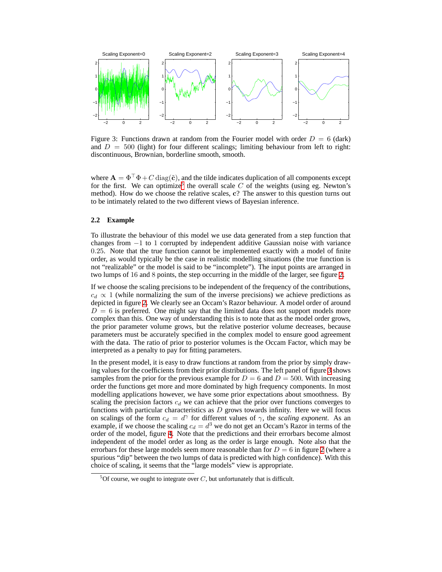

<span id="page-4-1"></span>Figure 3: Functions drawn at random from the Fourier model with order  $D = 6$  (dark) and  $D = 500$  (light) for four different scalings; limiting behaviour from left to right: discontinuous, Brownian, borderline smooth, smooth.

where  $\mathbf{A} = \Phi^{\top} \Phi + C \operatorname{diag}(\tilde{\mathbf{c}})$ , and the tilde indicates duplication of all components except for the first. We can optimize<sup>[5](#page-4-0)</sup> the overall scale  $C$  of the weights (using eg. Newton's method). How do we choose the relative scales, c? The answer to this question turns out to be intimately related to the two different views of Bayesian inference.

### **2.2 Example**

To illustrate the behaviour of this model we use data generated from a step function that changes from −1 to 1 corrupted by independent additive Gaussian noise with variance 0.25. Note that the true function cannot be implemented exactly with a model of finite order, as would typically be the case in realistic modelling situations (the true function is not "realizable" or the model is said to be "incomplete"). The input points are arranged in two lumps of 16 and 8 points, the step occurring in the middle of the larger, see figure [2](#page-3-1).

If we choose the scaling precisions to be independent of the frequency of the contributions,  $c_d \propto 1$  (while normalizing the sum of the inverse precisions) we achieve predictions as depicted in figure [2.](#page-3-1) We clearly see an Occam's Razor behaviour. A model order of around  $D = 6$  is preferred. One might say that the limited data does not support models more complex than this. One way of understanding this is to note that as the model order grows, the prior parameter volume grows, but the relative posterior volume decreases, because parameters must be accurately specified in the complex model to ensure good agreement with the data. The ratio of prior to posterior volumes is the Occam Factor, which may be interpreted as a penalty to pay for fitting parameters.

In the present model, it is easy to draw functions at random from the prior by simply drawing values for the coefficients from their prior distributions. The left panel of figure [3](#page-4-1) shows samples from the prior for the previous example for  $D = 6$  and  $D = 500$ . With increasing order the functions get more and more dominated by high frequency components. In most modelling applications however, we have some prior expectations about smoothness. By scaling the precision factors  $c_d$  we can achieve that the prior over functions converges to functions with particular characteristics as  $D$  grows towards infinity. Here we will focus on scalings of the form  $c_d = d^{\gamma}$  for different values of  $\gamma$ , the *scaling exponent*. As an example, if we choose the scaling  $c_d = d^3$  we do not get an Occam's Razor in terms of the order of the model, figure [4](#page-5-0). Note that the predictions and their errorbars become almost independent of the model order as long as the order is large enough. Note also that the errorbars for these large models seem more reasonable than for  $D = 6$  in figure [2](#page-3-1) (where a spurious "dip" between the two lumps of data is predicted with high confidence). With this choice of scaling, it seems that the "large models" view is appropriate.

<span id="page-4-0"></span><sup>&</sup>lt;sup>5</sup>Of course, we ought to integrate over C, but unfortunately that is difficult.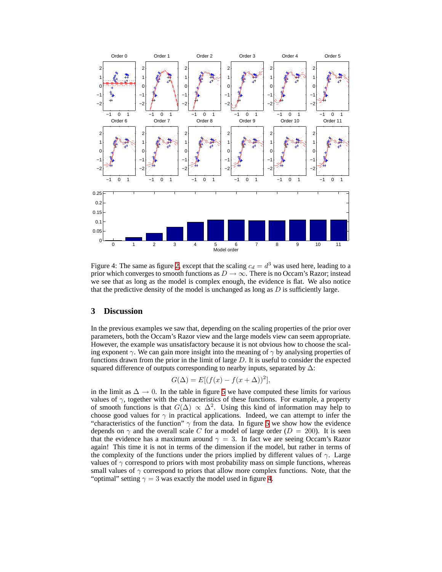

<span id="page-5-0"></span>Figure 4: The same as figure [2,](#page-3-1) except that the scaling  $c_d = d^3$  was used here, leading to a prior which converges to smooth functions as  $D \to \infty$ . There is no Occam's Razor; instead we see that as long as the model is complex enough, the evidence is flat. We also notice that the predictive density of the model is unchanged as long as  $D$  is sufficiently large.

# **3 Discussion**

In the previous examples we saw that, depending on the scaling properties of the prior over parameters, both the Occam's Razor view and the large models view can seem appropriate. However, the example was unsatisfactory because it is not obvious how to choose the scaling exponent  $\gamma$ . We can gain more insight into the meaning of  $\gamma$  by analysing properties of functions drawn from the prior in the limit of large  $D$ . It is useful to consider the expected squared difference of outputs corresponding to nearby inputs, separated by  $\Delta$ :

$$
G(\Delta) = E[(f(x) - f(x + \Delta))^2],
$$

in the limit as  $\Delta \rightarrow 0$ . In the table in figure [5](#page-6-5) we have computed these limits for various values of  $\gamma$ , together with the characteristics of these functions. For example, a property of smooth functions is that  $G(\Delta) \propto \Delta^2$ . Using this kind of information may help to choose good values for  $\gamma$  in practical applications. Indeed, we can attempt to infer the "characteristics of the function"  $\gamma$  from the data. In figure [5](#page-6-5) we show how the evidence depends on  $\gamma$  and the overall scale C for a model of large order ( $D = 200$ ). It is seen that the evidence has a maximum around  $\gamma = 3$ . In fact we are seeing Occam's Razor again! This time it is not in terms of the dimension if the model, but rather in terms of the complexity of the functions under the priors implied by different values of  $\gamma$ . Large values of  $\gamma$  correspond to priors with most probability mass on simple functions, whereas small values of  $\gamma$  correspond to priors that allow more complex functions. Note, that the "optimal" setting  $\gamma = 3$  was exactly the model used in figure [4](#page-5-0).